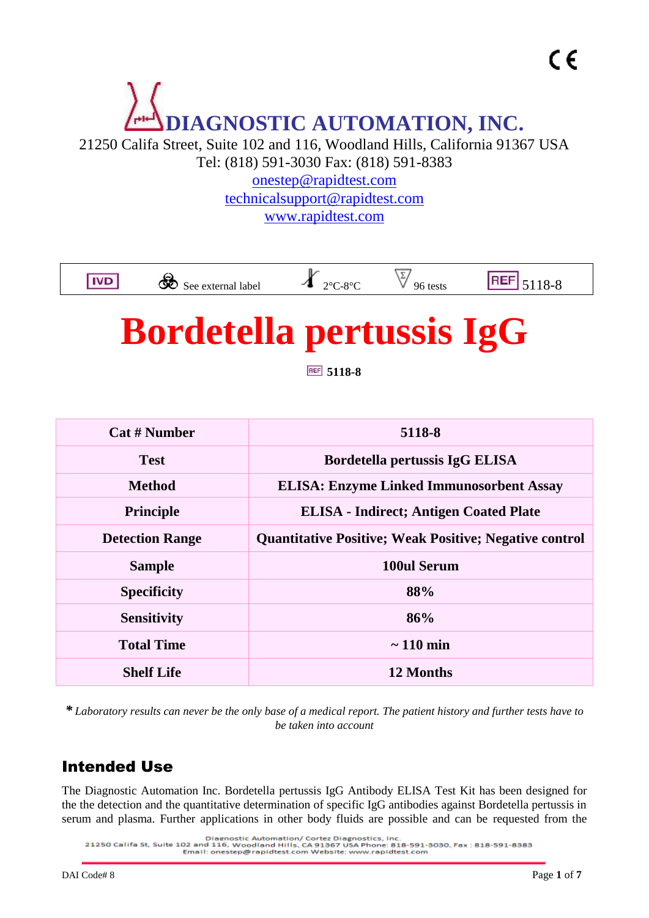# **DIAGNOSTIC AUTOMATION, INC.**

21250 Califa Street, Suite 102 and 116, Woodland Hills, California 91367 USA Tel: (818) 591-3030 Fax: (818) 591-8383

[onestep@rapidtest.com](mailto:onestep@rapidtest.com) [technicalsupport@rapidtest.com](mailto:technicalsupport@rapidtest.com) www.rapidtest.com



## **Bordetella pertussis IgG**

**5118-8**

| <b>Cat # Number</b>    | 5118-8                                                        |  |
|------------------------|---------------------------------------------------------------|--|
| <b>Test</b>            | Bordetella pertussis IgG ELISA                                |  |
| <b>Method</b>          | <b>ELISA: Enzyme Linked Immunosorbent Assay</b>               |  |
| <b>Principle</b>       | <b>ELISA</b> - Indirect; Antigen Coated Plate                 |  |
| <b>Detection Range</b> | <b>Quantitative Positive; Weak Positive; Negative control</b> |  |
| <b>Sample</b>          | 100ul Serum                                                   |  |
| <b>Specificity</b>     | 88%                                                           |  |
| <b>Sensitivity</b>     | 86%                                                           |  |
| <b>Total Time</b>      | $\sim$ 110 min                                                |  |
| <b>Shelf Life</b>      | 12 Months                                                     |  |

*\* Laboratory results can never be the only base of a medical report. The patient history and further tests have to be taken into account*

## Intended Use

The Diagnostic Automation Inc. Bordetella pertussis IgG Antibody ELISA Test Kit has been designed for the the detection and the quantitative determination of specific IgG antibodies against Bordetella pertussis in serum and plasma. Further applications in other body fluids are possible and can be requested from the

<sup>.</sup> Diagnostic Automation/ Cortez Diagnostics, Inc.<br>21250 Califa St, Suite 102 and 116, Woodland Hills, CA 91367 USA Phone: 818-591-8080, Fax : 818-591-8383<br>Email: onestep@rapidtest.com Website: www.rapidtest.com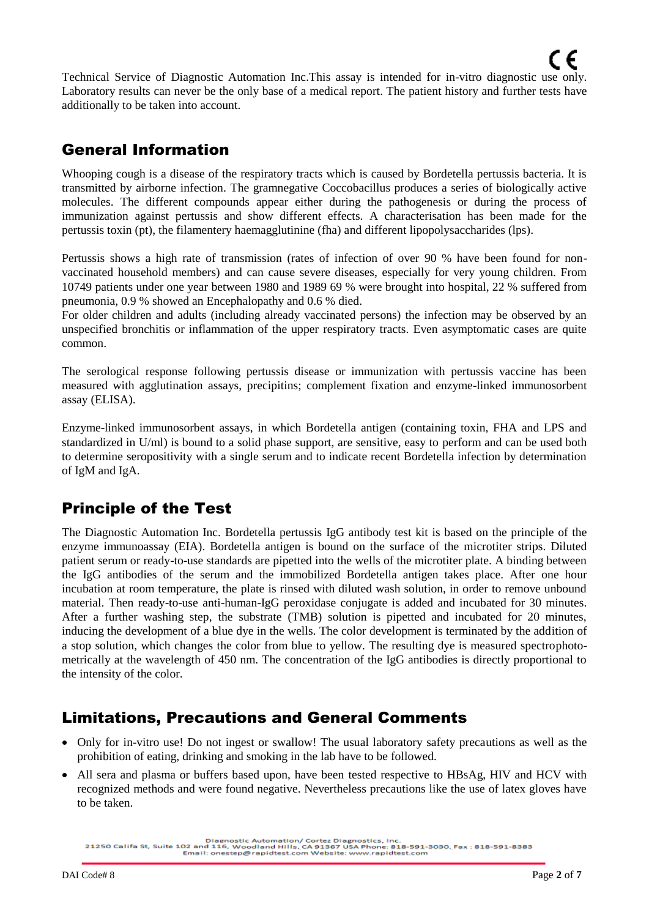Technical Service of Diagnostic Automation Inc.This assay is intended for in-vitro diagnostic use only. Laboratory results can never be the only base of a medical report. The patient history and further tests have additionally to be taken into account.

## General Information

Whooping cough is a disease of the respiratory tracts which is caused by Bordetella pertussis bacteria. It is transmitted by airborne infection. The gramnegative Coccobacillus produces a series of biologically active molecules. The different compounds appear either during the pathogenesis or during the process of immunization against pertussis and show different effects. A characterisation has been made for the pertussis toxin (pt), the filamentery haemagglutinine (fha) and different lipopolysaccharides (lps).

Pertussis shows a high rate of transmission (rates of infection of over 90 % have been found for nonvaccinated household members) and can cause severe diseases, especially for very young children. From 10749 patients under one year between 1980 and 1989 69 % were brought into hospital, 22 % suffered from pneumonia, 0.9 % showed an Encephalopathy and 0.6 % died.

For older children and adults (including already vaccinated persons) the infection may be observed by an unspecified bronchitis or inflammation of the upper respiratory tracts. Even asymptomatic cases are quite common.

The serological response following pertussis disease or immunization with pertussis vaccine has been measured with agglutination assays, precipitins; complement fixation and enzyme-linked immunosorbent assay (ELISA).

Enzyme-linked immunosorbent assays, in which Bordetella antigen (containing toxin, FHA and LPS and standardized in U/ml) is bound to a solid phase support, are sensitive, easy to perform and can be used both to determine seropositivity with a single serum and to indicate recent Bordetella infection by determination of IgM and IgA.

## Principle of the Test

The Diagnostic Automation Inc. Bordetella pertussis IgG antibody test kit is based on the principle of the enzyme immunoassay (EIA). Bordetella antigen is bound on the surface of the microtiter strips. Diluted patient serum or ready-to-use standards are pipetted into the wells of the microtiter plate. A binding between the IgG antibodies of the serum and the immobilized Bordetella antigen takes place. After one hour incubation at room temperature, the plate is rinsed with diluted wash solution, in order to remove unbound material. Then ready-to-use anti-human-IgG peroxidase conjugate is added and incubated for 30 minutes. After a further washing step, the substrate (TMB) solution is pipetted and incubated for 20 minutes, inducing the development of a blue dye in the wells. The color development is terminated by the addition of a stop solution, which changes the color from blue to yellow. The resulting dye is measured spectrophotometrically at the wavelength of 450 nm. The concentration of the IgG antibodies is directly proportional to the intensity of the color.

## Limitations, Precautions and General Comments

- Only for in-vitro use! Do not ingest or swallow! The usual laboratory safety precautions as well as the prohibition of eating, drinking and smoking in the lab have to be followed.
- All sera and plasma or buffers based upon, have been tested respective to HBsAg, HIV and HCV with recognized methods and were found negative. Nevertheless precautions like the use of latex gloves have to be taken.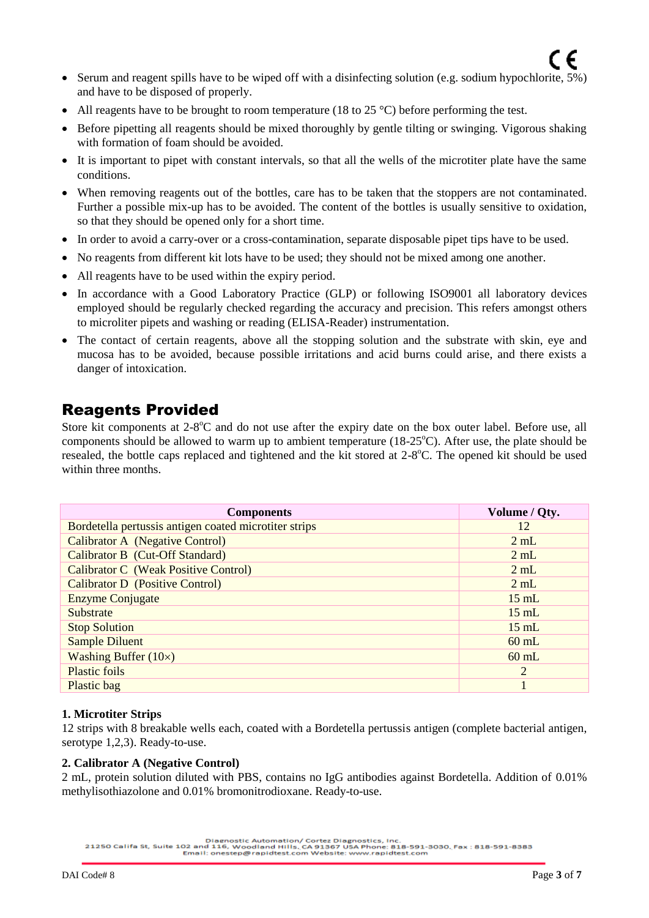- All reagents have to be brought to room temperature (18 to 25  $^{\circ}$ C) before performing the test.
- Before pipetting all reagents should be mixed thoroughly by gentle tilting or swinging. Vigorous shaking with formation of foam should be avoided.
- It is important to pipet with constant intervals, so that all the wells of the microtiter plate have the same conditions.
- When removing reagents out of the bottles, care has to be taken that the stoppers are not contaminated. Further a possible mix-up has to be avoided. The content of the bottles is usually sensitive to oxidation, so that they should be opened only for a short time.
- In order to avoid a carry-over or a cross-contamination, separate disposable pipet tips have to be used.
- No reagents from different kit lots have to be used; they should not be mixed among one another.
- All reagents have to be used within the expiry period.
- In accordance with a Good Laboratory Practice (GLP) or following ISO9001 all laboratory devices employed should be regularly checked regarding the accuracy and precision. This refers amongst others to microliter pipets and washing or reading (ELISA-Reader) instrumentation.
- The contact of certain reagents, above all the stopping solution and the substrate with skin, eye and mucosa has to be avoided, because possible irritations and acid burns could arise, and there exists a danger of intoxication.

## Reagents Provided

Store kit components at 2-8°C and do not use after the expiry date on the box outer label. Before use, all components should be allowed to warm up to ambient temperature  $(18{\text -}25^{\circ}C)$ . After use, the plate should be resealed, the bottle caps replaced and tightened and the kit stored at 2-8°C. The opened kit should be used within three months.

| <b>Components</b>                                     | Volume / Qty.   |
|-------------------------------------------------------|-----------------|
| Bordetella pertussis antigen coated microtiter strips | 12              |
| <b>Calibrator A</b> (Negative Control)                | 2 mL            |
| Calibrator B (Cut-Off Standard)                       | 2 mL            |
| <b>Calibrator C</b> (Weak Positive Control)           | 2 mL            |
| <b>Calibrator D</b> (Positive Control)                | 2 mL            |
| <b>Enzyme Conjugate</b>                               | $15 \text{ mL}$ |
| Substrate                                             | $15 \text{ mL}$ |
| <b>Stop Solution</b>                                  | $15 \text{ mL}$ |
| <b>Sample Diluent</b>                                 | $60$ mL         |
| Washing Buffer $(10\times)$                           | $60$ mL         |
| <b>Plastic foils</b>                                  | 2               |
| Plastic bag                                           |                 |

#### **1. Microtiter Strips**

12 strips with 8 breakable wells each, coated with a Bordetella pertussis antigen (complete bacterial antigen, serotype 1,2,3). Ready-to-use.

#### **2. Calibrator A (Negative Control)**

2 mL, protein solution diluted with PBS, contains no IgG antibodies against Bordetella. Addition of 0.01% methylisothiazolone and 0.01% bromonitrodioxane. Ready-to-use.

Diagnostic Automation/ Cortez Diagnostics, Inc.<br>21250 Califa St, Suite 102 and 116, Woodland Hills. CA 91367 USA Phone: 818-591-3030. Fax : 818-591-8383<br>Email: onestep@rapidtest.com Website: www.rapidtest.com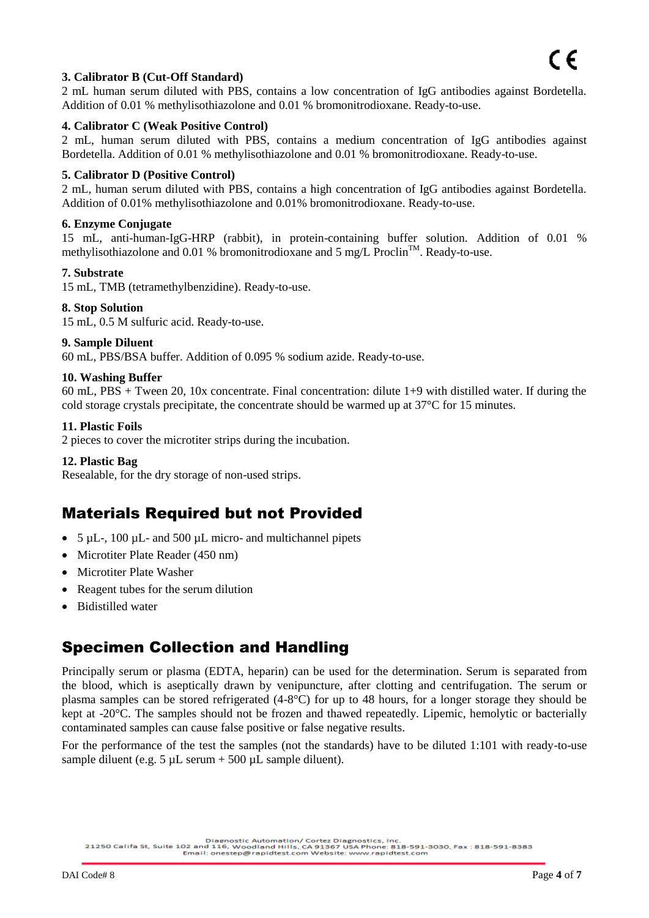## $\overline{\phantom{a}}$ **3. Calibrator B (Cut-Off Standard)**

2 mL human serum diluted with PBS, contains a low concentration of IgG antibodies against Bordetella. Addition of 0.01 % methylisothiazolone and 0.01 % bromonitrodioxane. Ready-to-use.

#### **4. Calibrator C (Weak Positive Control)**

2 mL, human serum diluted with PBS, contains a medium concentration of IgG antibodies against Bordetella. Addition of 0.01 % methylisothiazolone and 0.01 % bromonitrodioxane. Ready-to-use.

#### **5. Calibrator D (Positive Control)**

2 mL, human serum diluted with PBS, contains a high concentration of IgG antibodies against Bordetella. Addition of 0.01% methylisothiazolone and 0.01% bromonitrodioxane. Ready-to-use.

#### **6. Enzyme Conjugate**

15 mL, anti-human-IgG-HRP (rabbit), in protein-containing buffer solution. Addition of 0.01 % methylisothiazolone and 0.01 % bromonitrodioxane and 5 mg/L Proclin<sup>TM</sup>. Ready-to-use.

#### **7. Substrate**

15 mL, TMB (tetramethylbenzidine). Ready-to-use.

#### **8. Stop Solution**

15 mL, 0.5 M sulfuric acid. Ready-to-use.

#### **9. Sample Diluent**

60 mL, PBS/BSA buffer. Addition of 0.095 % sodium azide. Ready-to-use.

#### **10. Washing Buffer**

60 mL, PBS + Tween 20, 10x concentrate. Final concentration: dilute 1+9 with distilled water. If during the cold storage crystals precipitate, the concentrate should be warmed up at 37°C for 15 minutes.

#### **11. Plastic Foils**

2 pieces to cover the microtiter strips during the incubation.

#### **12. Plastic Bag**

Resealable, for the dry storage of non-used strips.

## Materials Required but not Provided

- 5 µL-, 100 µL- and 500 µL micro- and multichannel pipets
- Microtiter Plate Reader (450 nm)
- Microtiter Plate Washer
- Reagent tubes for the serum dilution
- Bidistilled water

## Specimen Collection and Handling

Principally serum or plasma (EDTA, heparin) can be used for the determination. Serum is separated from the blood, which is aseptically drawn by venipuncture, after clotting and centrifugation. The serum or plasma samples can be stored refrigerated (4-8°C) for up to 48 hours, for a longer storage they should be kept at -20°C. The samples should not be frozen and thawed repeatedly. Lipemic, hemolytic or bacterially contaminated samples can cause false positive or false negative results.

For the performance of the test the samples (not the standards) have to be diluted 1:101 with ready-to-use sample diluent (e.g.  $5 \mu L$  serum + 500  $\mu L$  sample diluent).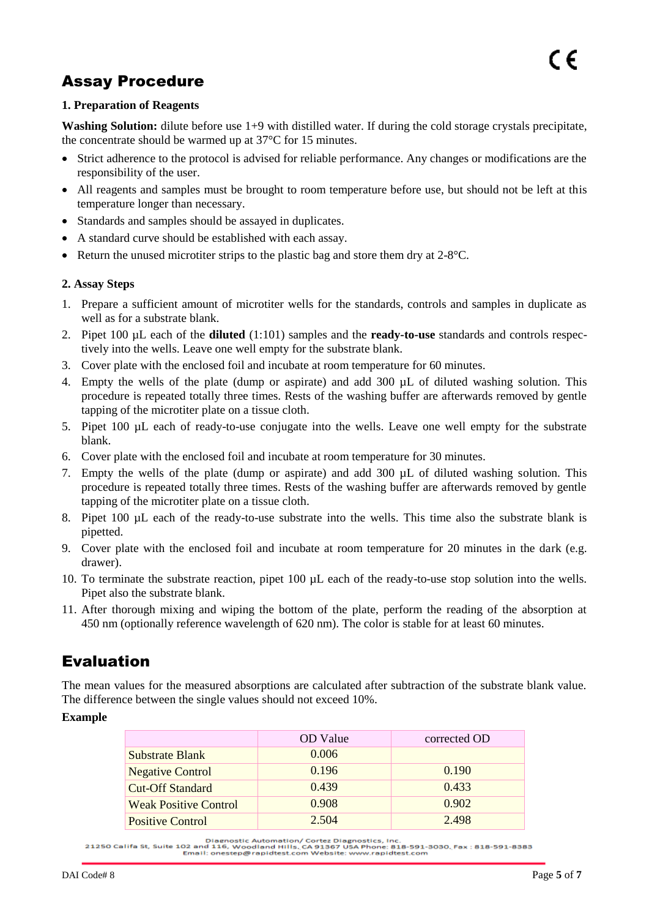## Assay Procedure

#### **1. Preparation of Reagents**

**Washing Solution:** dilute before use 1+9 with distilled water. If during the cold storage crystals precipitate, the concentrate should be warmed up at 37°C for 15 minutes.

- Strict adherence to the protocol is advised for reliable performance. Any changes or modifications are the responsibility of the user.
- All reagents and samples must be brought to room temperature before use, but should not be left at this temperature longer than necessary.
- Standards and samples should be assayed in duplicates.
- A standard curve should be established with each assay.
- Return the unused microtiter strips to the plastic bag and store them dry at 2-8°C.

#### **2. Assay Steps**

- 1. Prepare a sufficient amount of microtiter wells for the standards, controls and samples in duplicate as well as for a substrate blank.
- 2. Pipet 100 µL each of the **diluted** (1:101) samples and the **ready-to-use** standards and controls respectively into the wells. Leave one well empty for the substrate blank.
- 3. Cover plate with the enclosed foil and incubate at room temperature for 60 minutes.
- 4. Empty the wells of the plate (dump or aspirate) and add 300 µL of diluted washing solution. This procedure is repeated totally three times. Rests of the washing buffer are afterwards removed by gentle tapping of the microtiter plate on a tissue cloth.
- 5. Pipet 100 µL each of ready-to-use conjugate into the wells. Leave one well empty for the substrate blank.
- 6. Cover plate with the enclosed foil and incubate at room temperature for 30 minutes.
- 7. Empty the wells of the plate (dump or aspirate) and add 300 µL of diluted washing solution. This procedure is repeated totally three times. Rests of the washing buffer are afterwards removed by gentle tapping of the microtiter plate on a tissue cloth.
- 8. Pipet 100 µL each of the ready-to-use substrate into the wells. This time also the substrate blank is pipetted.
- 9. Cover plate with the enclosed foil and incubate at room temperature for 20 minutes in the dark (e.g. drawer).
- 10. To terminate the substrate reaction, pipet 100 µL each of the ready-to-use stop solution into the wells. Pipet also the substrate blank.
- 11. After thorough mixing and wiping the bottom of the plate, perform the reading of the absorption at 450 nm (optionally reference wavelength of 620 nm). The color is stable for at least 60 minutes.

## Evaluation

The mean values for the measured absorptions are calculated after subtraction of the substrate blank value. The difference between the single values should not exceed 10%.

#### **Example**

|                              | <b>OD</b> Value | corrected OD |
|------------------------------|-----------------|--------------|
| <b>Substrate Blank</b>       | 0.006           |              |
| <b>Negative Control</b>      | 0.196           | 0.190        |
| <b>Cut-Off Standard</b>      | 0.439           | 0.433        |
| <b>Weak Positive Control</b> | 0.908           | 0.902        |
| <b>Positive Control</b>      | 2.504           | 2.498        |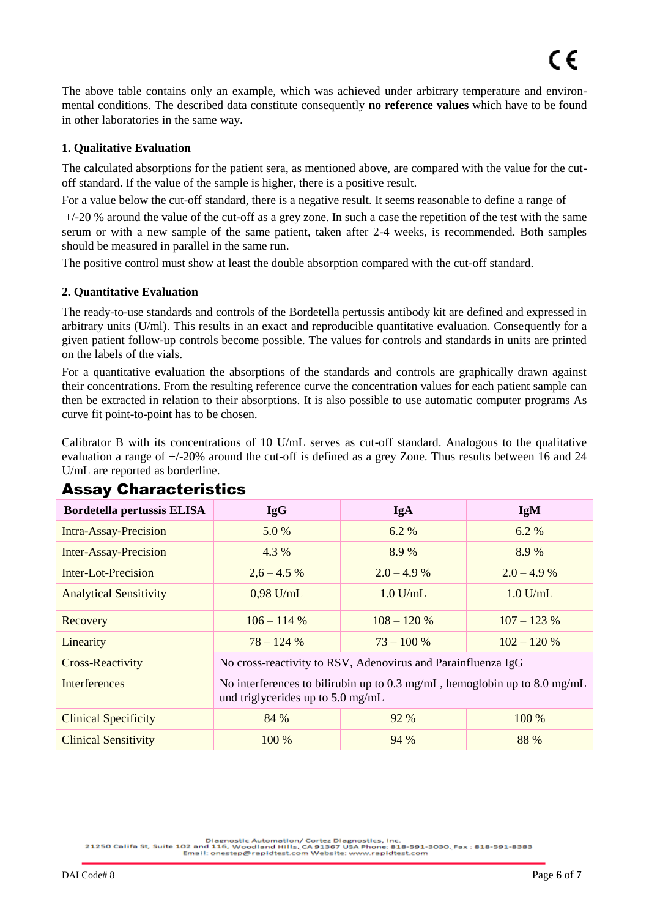The above table contains only an example, which was achieved under arbitrary temperature and environmental conditions. The described data constitute consequently **no reference values** which have to be found in other laboratories in the same way.

#### **1. Qualitative Evaluation**

The calculated absorptions for the patient sera, as mentioned above, are compared with the value for the cutoff standard. If the value of the sample is higher, there is a positive result.

For a value below the cut-off standard, there is a negative result. It seems reasonable to define a range of

 $+/-20$  % around the value of the cut-off as a grey zone. In such a case the repetition of the test with the same serum or with a new sample of the same patient, taken after 2-4 weeks, is recommended. Both samples should be measured in parallel in the same run.

The positive control must show at least the double absorption compared with the cut-off standard.

#### **2. Quantitative Evaluation**

The ready-to-use standards and controls of the Bordetella pertussis antibody kit are defined and expressed in arbitrary units (U/ml). This results in an exact and reproducible quantitative evaluation. Consequently for a given patient follow-up controls become possible. The values for controls and standards in units are printed on the labels of the vials.

For a quantitative evaluation the absorptions of the standards and controls are graphically drawn against their concentrations. From the resulting reference curve the concentration values for each patient sample can then be extracted in relation to their absorptions. It is also possible to use automatic computer programs As curve fit point-to-point has to be chosen.

Calibrator B with its concentrations of 10 U/mL serves as cut-off standard. Analogous to the qualitative evaluation a range of +/-20% around the cut-off is defined as a grey Zone. Thus results between 16 and 24 U/mL are reported as borderline.

| <b>Bordetella pertussis ELISA</b> | <b>IgG</b>                                                                                                               | <b>IgA</b>   | <b>IgM</b>   |
|-----------------------------------|--------------------------------------------------------------------------------------------------------------------------|--------------|--------------|
| <b>Intra-Assay-Precision</b>      | 5.0 %                                                                                                                    | 6.2 %        | 6.2%         |
| <b>Inter-Assay-Precision</b>      | 4.3 %                                                                                                                    | 8.9 %        | 8.9 %        |
| Inter-Lot-Precision               | $2,6 - 4.5\%$                                                                                                            | $2.0 - 4.9%$ | $2.0 - 4.9%$ |
| <b>Analytical Sensitivity</b>     | $0.98$ U/mL                                                                                                              | $1.0$ U/mL   | $1.0$ U/mL   |
| Recovery                          | $106 - 114%$                                                                                                             | $108 - 120%$ | $107 - 123%$ |
| Linearity                         | $78 - 124\%$                                                                                                             | $73 - 100\%$ | $102 - 120%$ |
| <b>Cross-Reactivity</b>           | No cross-reactivity to RSV, Adenovirus and Parainfluenza IgG                                                             |              |              |
| <b>Interferences</b>              | No interferences to bilirubin up to 0.3 mg/mL, hemoglobin up to 8.0 mg/mL<br>und triglycerides up to $5.0 \text{ mg/mL}$ |              |              |
| <b>Clinical Specificity</b>       | 84 %                                                                                                                     | 92 %         | 100 %        |
| <b>Clinical Sensitivity</b>       | 100 %                                                                                                                    | 94 %         | 88 %         |

## Assay Characteristics